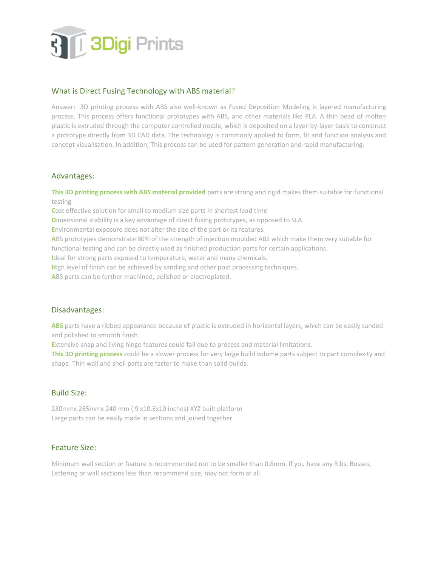

# What is Direct Fusing Technology with ABS material?

Answer: 3D printing process with ABS also well-known as Fused Deposition Modeling is layered manufacturing process. This process offers functional prototypes with ABS, and other materials like PLA. A thin bead of molten plastic is extruded through the computer controlled nozzle, which is deposited on a layer-by-layer basis to construct a prototype directly from 3D CAD data. The technology is commonly applied to form, fit and function analysis and concept visualisation. In addition, This process can be used for pattern generation and rapid manufacturing.

#### Advantages:

**This 3D printing process with ABS material provided** parts are strong and rigid makes them suitable for functional testing

**C**ost effective solution for small to medium size parts in shortest lead time

**D**imensional stability is a key advantage of direct fusing prototypes, as opposed to SLA.

**E**nvironmental exposure does not alter the size of the part or its features.

**A**BS prototypes demonstrate 80% of the strength of injection moulded ABS which make them very suitable for

functional testing and can be directly used as finished production parts for certain applications.

**I**deal for strong parts exposed to temperature, water and many chemicals.

High level of finish can be achieved by sanding and other post processing techniques.

**A**BS parts can be further machined, polished or electroplated.

#### Disadvantages:

**ABS** parts have a ribbed appearance because of plastic is extruded in horizontal layers, which can be easily sanded and polished to smooth finish.

**E**xtensive snap and living hinge features could fail due to process and material limitations.

**This 3D printing process** could be a slower process for very large build volume parts subject to part complexity and shape. Thin wall and shell parts are faster to make than solid builds.

## Build Size:

230mmx 265mmx 240 mm ( 9 x10.5x10 inches) XYZ built platform Large parts can be easily made in sections and joined together

## Feature Size:

Minimum wall section or feature is recommended not to be smaller than 0.8mm. If you have any Ribs, Bosses, Lettering or wall sections less than recommend size, may not form at all.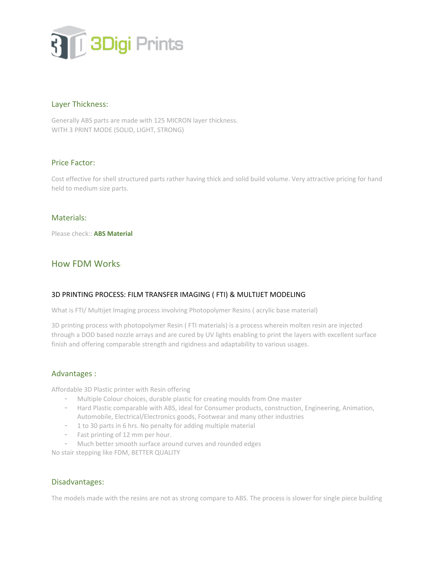

## Layer Thickness:

Generally ABS parts are made with 125 MICRON layer thickness. WITH 3 PRINT MODE (SOLID, LIGHT, STRONG)

# Price Factor:

Cost effective for shell structured parts rather having thick and solid build volume. Very attractive pricing for hand held to medium size parts.

## Materials:

Please check:: **[ABS Material](http://www.3digiprints.com/material_used.php)**

# How FDM Works:

## 3D PRINTING PROCESS: FILM TRANSFER IMAGING ( FTI) & MULTIJET MODELING

What is FTI/ Multijet Imaging process involving Photopolymer Resins ( acrylic base material)

3D printing process with photopolymer Resin ( FTI materials) is a process wherein molten resin are injected through a DOD based nozzle arrays and are cured by UV lights enabling to print the layers with excellent surface finish and offering comparable strength and rigidness and adaptability to various usages.

## Advantages :

Affordable 3D Plastic printer with Resin offering

- Multiple Colour choices, durable plastic for creating moulds from One master
- Hard Plastic comparable with ABS, ideal for Consumer products, construction, Engineering, Animation, Automobile, Electrical/Electronics goods, Footwear and many other industries
- 1 to 30 parts in 6 hrs. No penalty for adding multiple material
- Fast printing of 12 mm per hour.
- Much better smooth surface around curves and rounded edges

No stair stepping like FDM, BETTER QUALITY

## Disadvantages:

The models made with the resins are not as strong compare to ABS. The process is slower for single piece building